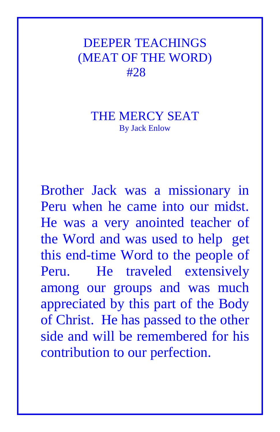## DEEPER TEACHINGS (MEAT OF THE WORD) #28

## THE MERCY SEAT By Jack Enlow

Brother Jack was a missionary in Peru when he came into our midst. He was a very anointed teacher of the Word and was used to help get this end-time Word to the people of Peru. He traveled extensively among our groups and was much appreciated by this part of the Body of Christ. He has passed to the other side and will be remembered for his contribution to our perfection.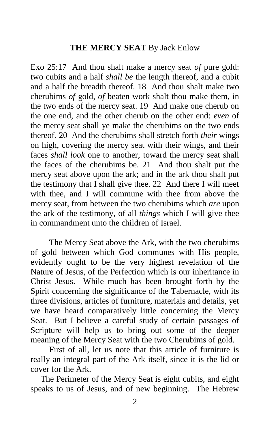## **THE MERCY SEAT** By Jack Enlow

Exo 25:17 And thou shalt make a mercy seat *of* pure gold: two cubits and a half *shall be* the length thereof, and a cubit and a half the breadth thereof. 18 And thou shalt make two cherubims *of* gold, *of* beaten work shalt thou make them, in the two ends of the mercy seat. 19 And make one cherub on the one end, and the other cherub on the other end: *even* of the mercy seat shall ye make the cherubims on the two ends thereof. 20 And the cherubims shall stretch forth *their* wings on high, covering the mercy seat with their wings, and their faces *shall look* one to another; toward the mercy seat shall the faces of the cherubims be. 21 And thou shalt put the mercy seat above upon the ark; and in the ark thou shalt put the testimony that I shall give thee. 22 And there I will meet with thee, and I will commune with thee from above the mercy seat, from between the two cherubims which *are* upon the ark of the testimony, of all *things* which I will give thee in commandment unto the children of Israel.

 The Mercy Seat above the Ark, with the two cherubims of gold between which God communes with His people, evidently ought to be the very highest revelation of the Nature of Jesus, of the Perfection which is our inheritance in Christ Jesus. While much has been brought forth by the Spirit concerning the significance of the Tabernacle, with its three divisions, articles of furniture, materials and details, yet we have heard comparatively little concerning the Mercy Seat. But I believe a careful study of certain passages of Scripture will help us to bring out some of the deeper meaning of the Mercy Seat with the two Cherubims of gold.

 First of all, let us note that this article of furniture is really an integral part of the Ark itself, since it is the lid or cover for the Ark.

The Perimeter of the Mercy Seat is eight cubits, and eight speaks to us of Jesus, and of new beginning. The Hebrew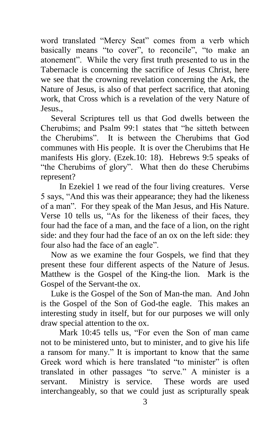word translated "Mercy Seat" comes from a verb which basically means "to cover", to reconcile", "to make an atonement". While the very first truth presented to us in the Tabernacle is concerning the sacrifice of Jesus Christ, here we see that the crowning revelation concerning the Ark, the Nature of Jesus, is also of that perfect sacrifice, that atoning work, that Cross which is a revelation of the very Nature of Jesus.,

Several Scriptures tell us that God dwells between the Cherubims; and Psalm 99:1 states that "he sitteth between the Cherubims". It is between the Cherubims that God communes with His people. It is over the Cherubims that He manifests His glory. (Ezek.10: 18). Hebrews 9:5 speaks of "the Cherubims of glory". What then do these Cherubims represent?

 In Ezekiel 1 we read of the four living creatures. Verse 5 says, "And this was their appearance; they had the likeness of a man". For they speak of the Man Jesus, and His Nature. Verse 10 tells us, "As for the likeness of their faces, they four had the face of a man, and the face of a lion, on the right side: and they four had the face of an ox on the left side: they four also had the face of an eagle".

Now as we examine the four Gospels, we find that they present these four different aspects of the Nature of Jesus. Matthew is the Gospel of the King-the lion. Mark is the Gospel of the Servant-the ox.

Luke is the Gospel of the Son of Man-the man. And John is the Gospel of the Son of God-the eagle. This makes an interesting study in itself, but for our purposes we will only draw special attention to the ox.

 Mark 10:45 tells us, "For even the Son of man came not to be ministered unto, but to minister, and to give his life a ransom for many." It is important to know that the same Greek word which is here translated "to minister" is often translated in other passages "to serve." A minister is a servant. Ministry is service. These words are used interchangeably, so that we could just as scripturally speak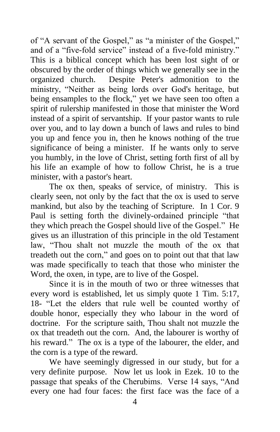of "A servant of the Gospel," as "a minister of the Gospel," and of a "five-fold service" instead of a five-fold ministry." This is a biblical concept which has been lost sight of or obscured by the order of things which we generally see in the organized church. Despite Peter's admonition to the ministry, "Neither as being lords over God's heritage, but being ensamples to the flock," yet we have seen too often a spirit of rulership manifested in those that minister the Word instead of a spirit of servantship. If your pastor wants to rule over you, and to lay down a bunch of laws and rules to bind you up and fence you in, then he knows nothing of the true significance of being a minister. If he wants only to serve you humbly, in the love of Christ, setting forth first of all by his life an example of how to follow Christ, he is a true minister, with a pastor's heart.

 The ox then, speaks of service, of ministry. This is clearly seen, not only by the fact that the ox is used to serve mankind, but also by the teaching of Scripture. In 1 Cor. 9 Paul is setting forth the divinely-ordained principle "that they which preach the Gospel should live of the Gospel." He gives us an illustration of this principle in the old Testament law, "Thou shalt not muzzle the mouth of the ox that treadeth out the corn," and goes on to point out that that law was made specifically to teach that those who minister the Word, the oxen, in type, are to live of the Gospel.

 Since it is in the mouth of two or three witnesses that every word is established, let us simply quote 1 Tim. 5:17, 18- "Let the elders that rule well be counted worthy of double honor, especially they who labour in the word of doctrine. For the scripture saith, Thou shalt not muzzle the ox that treadeth out the corn. And, the labourer is worthy of his reward." The ox is a type of the labourer, the elder, and the corn is a type of the reward.

 We have seemingly digressed in our study, but for a very definite purpose. Now let us look in Ezek. 10 to the passage that speaks of the Cherubims. Verse 14 says, "And every one had four faces: the first face was the face of a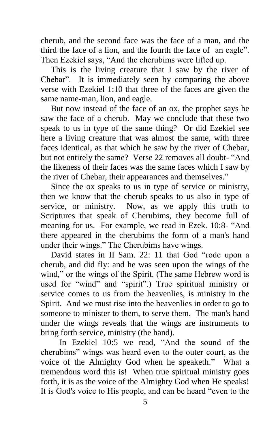cherub, and the second face was the face of a man, and the third the face of a lion, and the fourth the face of an eagle". Then Ezekiel says, "And the cherubims were lifted up.

This is the living creature that I saw by the river of Chebar". It is immediately seen by comparing the above verse with Ezekiel 1:10 that three of the faces are given the same name-man, lion, and eagle.

But now instead of the face of an ox, the prophet says he saw the face of a cherub. May we conclude that these two speak to us in type of the same thing? Or did Ezekiel see here a living creature that was almost the same, with three faces identical, as that which he saw by the river of Chebar, but not entirely the same? Verse 22 removes all doubt- "And the likeness of their faces was the same faces which I saw by the river of Chebar, their appearances and themselves."

Since the ox speaks to us in type of service or ministry, then we know that the cherub speaks to us also in type of service, or ministry. Now, as we apply this truth to Scriptures that speak of Cherubims, they become full of meaning for us. For example, we read in Ezek. 10:8- "And there appeared in the cherubims the form of a man's hand under their wings." The Cherubims have wings.

David states in II Sam. 22: 11 that God "rode upon a cherub, and did fly: and he was seen upon the wings of the wind," or the wings of the Spirit. (The same Hebrew word is used for "wind" and "spirit".) True spiritual ministry or service comes to us from the heavenlies, is ministry in the Spirit. And we must rise into the heavenlies in order to go to someone to minister to them, to serve them. The man's hand under the wings reveals that the wings are instruments to bring forth service, ministry (the hand).

 In Ezekiel 10:5 we read, "And the sound of the cherubims" wings was heard even to the outer court, as the voice of the Almighty God when he speaketh." What a tremendous word this is! When true spiritual ministry goes forth, it is as the voice of the Almighty God when He speaks! It is God's voice to His people, and can be heard "even to the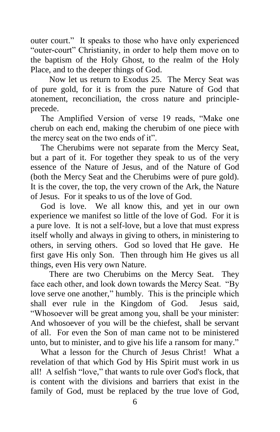outer court." It speaks to those who have only experienced "outer-court" Christianity, in order to help them move on to the baptism of the Holy Ghost, to the realm of the Holy Place, and to the deeper things of God.

 Now let us return to Exodus 25. The Mercy Seat was of pure gold, for it is from the pure Nature of God that atonement, reconciliation, the cross nature and principleprecede.

The Amplified Version of verse 19 reads, "Make one cherub on each end, making the cherubim of one piece with the mercy seat on the two ends of it".

The Cherubims were not separate from the Mercy Seat, but a part of it. For together they speak to us of the very essence of the Nature of Jesus, and of the Nature of God (both the Mercy Seat and the Cherubims were of pure gold). It is the cover, the top, the very crown of the Ark, the Nature of Jesus. For it speaks to us of the love of God.

God is love. We all know this, and yet in our own experience we manifest so little of the love of God. For it is a pure love. It is not a self-love, but a love that must express itself wholly and always in giving to others, in ministering to others, in serving others. God so loved that He gave. He first gave His only Son. Then through him He gives us all things, even His very own Nature.

 There are two Cherubims on the Mercy Seat. They face each other, and look down towards the Mercy Seat. "By love serve one another," humbly. This is the principle which shall ever rule in the Kingdom of God. Jesus said, "Whosoever will be great among you, shall be your minister: And whosoever of you will be the chiefest, shall be servant of all. For even the Son of man came not to be ministered unto, but to minister, and to give his life a ransom for many."

What a lesson for the Church of Jesus Christ! What a revelation of that which God by His Spirit must work in us all! A selfish "love," that wants to rule over God's flock, that is content with the divisions and barriers that exist in the family of God, must be replaced by the true love of God,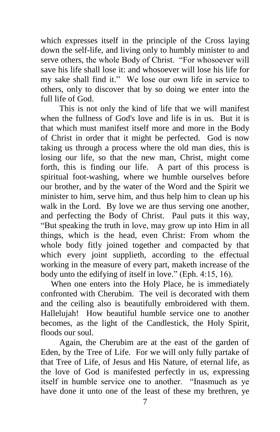which expresses itself in the principle of the Cross laying down the self-life, and living only to humbly minister to and serve others, the whole Body of Christ. "For whosoever will save his life shall lose it: and whosoever will lose his life for my sake shall find it." We lose our own life in service to others, only to discover that by so doing we enter into the full life of God.

 This is not only the kind of life that we will manifest when the fullness of God's love and life is in us. But it is that which must manifest itself more and more in the Body of Christ in order that it might be perfected. God is now taking us through a process where the old man dies, this is losing our life, so that the new man, Christ, might come forth, this is finding our life. A part of this process is spiritual foot-washing, where we humble ourselves before our brother, and by the water of the Word and the Spirit we minister to him, serve him, and thus help him to clean up his walk in the Lord. By love we are thus serving one another, and perfecting the Body of Christ. Paul puts it this way, "But speaking the truth in love, may grow up into Him in all things, which is the head, even Christ: From whom the whole body fitly joined together and compacted by that which every joint supplieth, according to the effectual working in the measure of every part, maketh increase of the body unto the edifying of itself in love." (Eph. 4:15, 16).

When one enters into the Holy Place, he is immediately confronted with Cherubim. The veil is decorated with them and the ceiling also is beautifully embroidered with them. Hallelujah! How beautiful humble service one to another becomes, as the light of the Candlestick, the Holy Spirit, floods our soul.

 Again, the Cherubim are at the east of the garden of Eden, by the Tree of Life. For we will only fully partake of that Tree of Life, of Jesus and His Nature, of eternal life, as the love of God is manifested perfectly in us, expressing itself in humble service one to another. "Inasmuch as ye have done it unto one of the least of these my brethren, ye